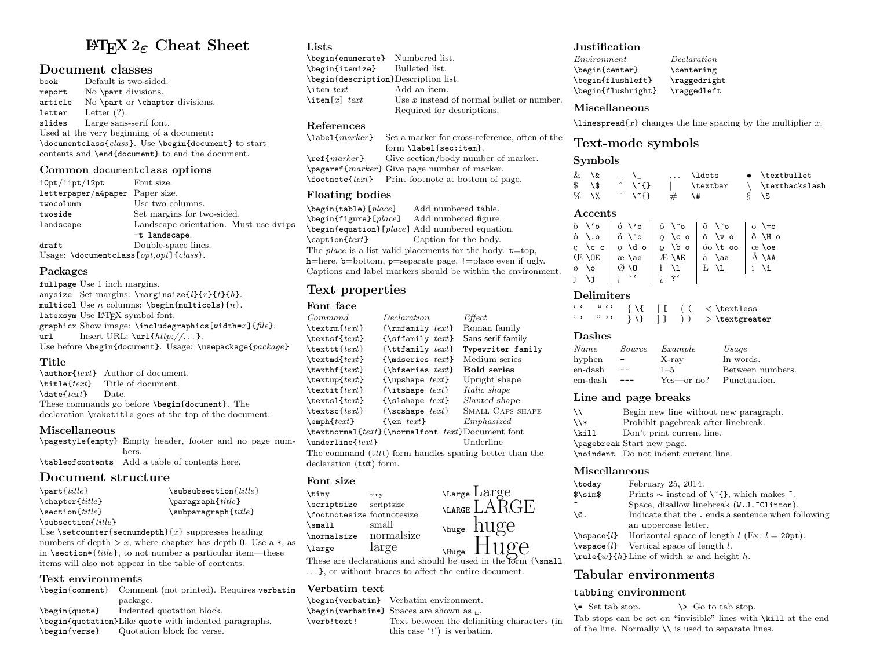# LATEX 2ε Cheat Sheet

# **Document classes**

book Default is two-sided.<br>report No \part divisions. No \part divisions. article No \part or \chapter divisions.<br>letter Letter  $(?)$ . letter Letter (?).<br>slides Large sans-Large sans-serif font. Used at the very beginning of a document: \documentclass{class}. Use \begin{document} to start contents and \end{document} to end the document.

#### Common documentclass options

| 10pt/11pt/12pt                                      | Font size.                            |
|-----------------------------------------------------|---------------------------------------|
| letterpaper/a4paper Paper size.                     |                                       |
| twocolumn                                           | Use two columns.                      |
| twoside                                             | Set margins for two-sided.            |
| landscape                                           | Landscape orientation. Must use dvips |
|                                                     | -t landscape.                         |
| draft                                               | Double-space lines.                   |
| Usage: $\text{locumentclass}[opt,opt]$ { $class$ }. |                                       |

### Packages

fullpage Use 1 inch margins. anysize Set margins:  $\text{using}$ [}{r}{t}{b}. multicol Use  $n$  columns: \begin{multicols}{ $n$ }. latexsym Use LATFX symbol font. graphicx Show image: \includegraphics[width=x]{file}.<br>url Insert URL: \url{http://...}. Insert URL:  $\ur1\{http://...}.$ Use before \begin{document}. Usage: \usepackage{package}

# Title

\author{text} Author of document.  $\tilde{\text{text}}$  Title of document.<br>  $\text{text}}$  Date.  $\delta$  date $\{text\}$ These commands go before \begin{document}. The declaration \maketitle goes at the top of the document.

# Miscellaneous

\pagestyle{empty} Empty header, footer and no page numbers. \tableofcontents Add a table of contents here.

# Document structure

| $\text{part}_{title}$       | $\s$ ubsubsection $\{title\}$   |
|-----------------------------|---------------------------------|
| $\text{Chapter{title}}$     | $\{title\}$                     |
| $\verb \section , title$    | $\sub$ subparagraph $\{title\}$ |
| $\verb \subsection{title} $ |                                 |

Use  $\setminus$  setcounter{secnumdepth}{x} suppresses heading numbers of depth  $x$ , where chapter has depth 0. Use a  $\ast$ , as in  $\setminus \setminus \{title\}$ , to not number a particular item—these items will also not appear in the table of contents.

# Text environments

\begin{comment} Comment (not printed). Requires verbatim package. \begin{quote} Indented quotation block. \begin{quotation}Like quote with indented paragraphs. \begin{verse} Quotation block for verse.

# **Lists**

| \begin{enumerate} Numbered list.     |                                             |  |  |
|--------------------------------------|---------------------------------------------|--|--|
| \begin{itemize} Bulleted list.       |                                             |  |  |
| \begin{description}Description list. |                                             |  |  |
| \item $text$                         | Add an item.                                |  |  |
| \item[x] $text$                      | Use $x$ instead of normal bullet or number. |  |  |
|                                      | Required for descriptions.                  |  |  |

# References

```
\label{marker} Set a marker for cross-reference, often of the
                 form \label{sec:item}.
\ref{marker} Give section/body number of marker.
\pageref{marker} Give page number of marker.
\footnote{text} Print footnote at bottom of page.
```
# Floating bodies

\begin{table}[place] Add numbered table. \begin{figure}[place] Add numbered figure.  $\begin{bmatrix} \begin{array}{c} \text{black} \end{array} \end{bmatrix}$  Add numbered equation.<br>  $\text{caption}$  Caption{*text*} Caption for the body. Caption for the body. The *place* is a list valid placements for the body.  $t = top$ , h=here, b=bottom, p=separate page, !=place even if ugly. Captions and label markers should be within the environment.

# Text properties

# Font face

| Command                                                           | <i>Declaration</i>                                 | ${\it Effect}$          |  |  |
|-------------------------------------------------------------------|----------------------------------------------------|-------------------------|--|--|
| $\text{textf}$                                                    | ${\rm family \textit{ text}}$                      | Roman family            |  |  |
| $\text{textf}$                                                    | $\{\setminus \texttt{simily } \text{text}\}$       | Sans serif family       |  |  |
| $\texttt{text}$                                                   | $\{\text{ttfamily } text\}$                        | Typewriter family       |  |  |
| $\texttt{text}$                                                   | ${\mathcal{S}}$                                    | Medium series           |  |  |
| $\text{textbf{}$                                                  | $\{\text{b} \text{f} \text{series } \text{text}\}$ | <b>Bold series</b>      |  |  |
| $\text{textup{}text}$                                             | {\upshape $text$ }                                 | Upright shape           |  |  |
| $\text{text}$                                                     | {\itshape $text$ }                                 | <i>Italic shape</i>     |  |  |
| $\text{text}$                                                     | {\slshape $text$ }                                 | Slanted shape           |  |  |
| $\text{text}$                                                     | {\scshape $text$ }                                 | <b>SMALL CAPS SHAPE</b> |  |  |
| $\emptyset$ /emph $\{text\}$                                      | $\{\text{sem } text\}$                             | Emphasized              |  |  |
| \textnormal{ <i>text</i> }{\normalfont <i>text</i> }Document font |                                                    |                         |  |  |
| $\{text\}$                                                        |                                                    | Underline               |  |  |
| The command (ttt) form handles spacing better than the            |                                                    |                         |  |  |
| declaration $(t$ tth form.                                        |                                                    |                         |  |  |

# Font size

\tiny tiny \scriptsize scriptsize \footnotesize footnotesize<br>\small small  $\sum_{s=1}^{\infty}$ \normalsize normalsize \large large

These are declarations and should be used in the form {\small . . . }, or without braces to affect the entire document.

# Verbatim text

\begin{verbatim} Verbatim environment.

- \begin{verbatim\*} Spaces are shown as .
- \verb!text! Text between the delimiting characters (in this case '!') is verbatim.

# Justification

Environment Declaration \begin{center} \centering \begin{flushleft} \raggedright \begin{flushright} \raggedleft

# Miscellaneous

 $\langle$ linespread $\{x\}$  changes the line spacing by the multiplier x.

# Text-mode symbols

# **Symbols**

| & \&    |                                                                                                                                                                                                                                                                                                                                                                                                                               |      | \ldots      | $\bullet$ \textbullet |
|---------|-------------------------------------------------------------------------------------------------------------------------------------------------------------------------------------------------------------------------------------------------------------------------------------------------------------------------------------------------------------------------------------------------------------------------------|------|-------------|-----------------------|
| \$\\$   | $\uparrow$ \ $\uparrow$ \ $\uparrow$ \ $\uparrow$ \ $\uparrow$ \ $\uparrow$ \ $\uparrow$ \ $\uparrow$ \ $\uparrow$ \ $\uparrow$ \ $\uparrow$ \ $\uparrow$ \ $\uparrow$ \ $\uparrow$ \ $\uparrow$ \ $\uparrow$ \ $\uparrow$ \ $\uparrow$ \ $\uparrow$ \ $\uparrow$ \ $\uparrow$ \ $\uparrow$ \ $\uparrow$ \ $\uparrow$ \ $\uparrow$ \ $\uparrow$ \ $\uparrow$ \ $\uparrow$ \ $\uparrow$ \ $\uparrow$ \ $\uparrow$ \ $\uparrow$ |      | \textbar    | \ \textbackslash      |
| $\%$ \% | $\sim$ \"{}                                                                                                                                                                                                                                                                                                                                                                                                                   | $\#$ | $\lambda$ # | $\delta$ \S           |

# Accents

|                                     | ò \'o   ό \'o   ô \^o   õ \~o   ō \=o                                                                   |  |
|-------------------------------------|---------------------------------------------------------------------------------------------------------|--|
|                                     | ovo   öv" o   g \co   ŏ \vo   ő \Ho                                                                     |  |
|                                     | $\zeta$ \cc $\circ$ \do $\circ$ \bo $\circ$ \cc $\circ$ \do $\circ$ \bo $\circ$ \cc $\circ$ \cc $\circ$ |  |
|                                     |                                                                                                         |  |
|                                     | $\emptyset$ \0 $\emptyset$ \0   $\{$ \1   $L$ \L   $\iota$ \i                                           |  |
| $J \setminus j \mid i \in \{1, 2\}$ |                                                                                                         |  |

#### Delimiters

|                 |  |  |  | $\{\ \{ \ \}$ $\begin{array}{c} \begin{array}{c} \end{array} \end{array}$ |
|-----------------|--|--|--|---------------------------------------------------------------------------|
| $, \, \, \cdot$ |  |  |  | $\{\ \} \ \   \ \   \ \ ) \ \ > \ \text{textgreater}$                     |

#### Dashes

| Name    | Source                   | Example    | Usage            |
|---------|--------------------------|------------|------------------|
| hyphen  | $\overline{\phantom{m}}$ | $X-ray$    | In words.        |
| en-dash | $- -$                    | $1 - 5$    | Between numbers. |
| em-dash |                          | Yes—or no? | Punctuation.     |

# Line and page breaks

| ハ                        | Begin new line without new paragraph. |
|--------------------------|---------------------------------------|
| $\overline{\phantom{a}}$ | Prohibit pagebreak after linebreak.   |
| \kill                    | Don't print current line.             |
|                          | \pagebreak Start new page.            |
|                          | \noindent Do not indent current line. |

#### Miscellaneous

| \today       | February 25, 2014.                                                    |
|--------------|-----------------------------------------------------------------------|
| $\sim$       | Prints $\sim$ instead of $\Upsilon$ {}, which makes $\tilde{\ }$ .    |
| ∼            | Space, disallow linebreak (W.J. "Clinton).                            |
| <b>\@.</b>   | Indicate that the . ends a sentence when following                    |
|              | an uppercase letter.                                                  |
|              | \hspace{ <i>l</i> } Horizontal space of length $l$ (Ex: $l = 20pt$ ). |
| $\{Vspace\}$ | Vertical space of length $l$ .                                        |
|              | $\mathcal{w}{h}$ Line of width w and height h.                        |
|              |                                                                       |

# Tabular environments

# tabbing environment

 $\setminus$  Set tab stop.  $\setminus$   $\setminus$  Go to tab stop. Tab stops can be set on "invisible" lines with \kill at the end of the line. Normally  $\setminus \setminus$  is used to separate lines.